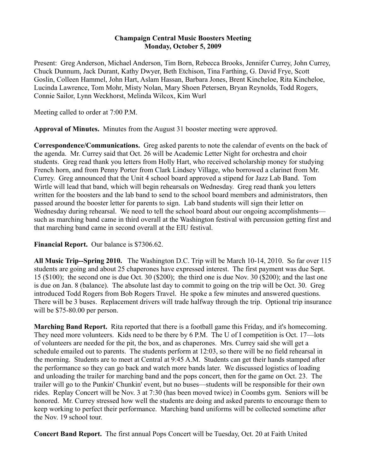## **Champaign Central Music Boosters Meeting Monday, October 5, 2009**

Present: Greg Anderson, Michael Anderson, Tim Born, Rebecca Brooks, Jennifer Currey, John Currey, Chuck Dunnum, Jack Durant, Kathy Dwyer, Beth Etchison, Tina Farthing, G. David Frye, Scott Goslin, Colleen Hammel, John Hart, Aslam Hassan, Barbara Jones, Brent Kincheloe, Rita Kincheloe, Lucinda Lawrence, Tom Mohr, Misty Nolan, Mary Shoen Petersen, Bryan Reynolds, Todd Rogers, Connie Sailor, Lynn Weckhorst, Melinda Wilcox, Kim Wurl

Meeting called to order at 7:00 P.M.

**Approval of Minutes.** Minutes from the August 31 booster meeting were approved.

**Correspondence/Communications.** Greg asked parents to note the calendar of events on the back of the agenda. Mr. Currey said that Oct. 26 will be Academic Letter Night for orchestra and choir students. Greg read thank you letters from Holly Hart, who received scholarship money for studying French horn, and from Penny Porter from Clark Lindsey Village, who borrowed a clarinet from Mr. Currey. Greg announced that the Unit 4 school board approved a stipend for Jazz Lab Band. Tom Wirtle will lead that band, which will begin rehearsals on Wednesday. Greg read thank you letters written for the boosters and the lab band to send to the school board members and administrators, then passed around the booster letter for parents to sign. Lab band students will sign their letter on Wednesday during rehearsal. We need to tell the school board about our ongoing accomplishments such as marching band came in third overall at the Washington festival with percussion getting first and that marching band came in second overall at the EIU festival.

**Financial Report.** Our balance is \$7306.62.

**All Music Trip--Spring 2010.** The Washington D.C. Trip will be March 10-14, 2010. So far over 115 students are going and about 25 chaperones have expressed interest. The first payment was due Sept. 15 (\$100); the second one is due Oct. 30 (\$200); the third one is due Nov. 30 (\$200); and the last one is due on Jan. 8 (balance). The absolute last day to commit to going on the trip will be Oct. 30. Greg introduced Todd Rogers from Bob Rogers Travel. He spoke a few minutes and answered questions. There will be 3 buses. Replacement drivers will trade halfway through the trip. Optional trip insurance will be \$75-80.00 per person.

**Marching Band Report.** Rita reported that there is a football game this Friday, and it's homecoming. They need more volunteers. Kids need to be there by 6 P.M. The U of I competition is Oct. 17—lots of volunteers are needed for the pit, the box, and as chaperones. Mrs. Currey said she will get a schedule emailed out to parents. The students perform at 12:03, so there will be no field rehearsal in the morning. Students are to meet at Central at 9:45 A.M. Students can get their hands stamped after the performance so they can go back and watch more bands later. We discussed logistics of loading and unloading the trailer for marching band and the pops concert, then for the game on Oct. 23. The trailer will go to the Punkin' Chunkin' event, but no buses—students will be responsible for their own rides. Replay Concert will be Nov. 3 at 7:30 (has been moved twice) in Coombs gym. Seniors will be honored. Mr. Currey stressed how well the students are doing and asked parents to encourage them to keep working to perfect their performance. Marching band uniforms will be collected sometime after the Nov. 19 school tour.

**Concert Band Report.** The first annual Pops Concert will be Tuesday, Oct. 20 at Faith United